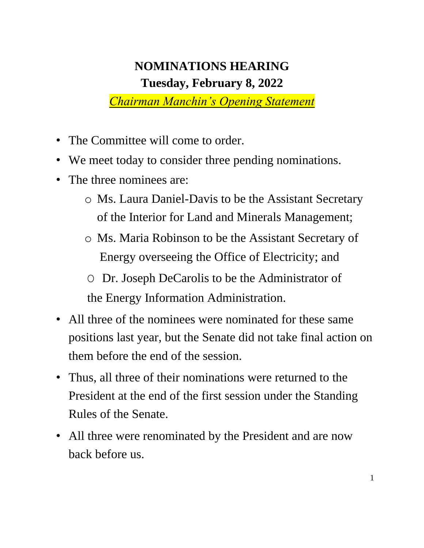## **NOMINATIONS HEARING Tuesday, February 8, 2022**

*Chairman Manchin's Opening Statement*

- The Committee will come to order.
- We meet today to consider three pending nominations.
- The three nominees are:
	- o Ms. Laura Daniel-Davis to be the Assistant Secretary of the Interior for Land and Minerals Management;
	- o Ms. Maria Robinson to be the Assistant Secretary of Energy overseeing the Office of Electricity; and
	- O Dr. Joseph DeCarolis to be the Administrator of the Energy Information Administration.
- All three of the nominees were nominated for these same positions last year, but the Senate did not take final action on them before the end of the session.
- Thus, all three of their nominations were returned to the President at the end of the first session under the Standing Rules of the Senate.
- All three were renominated by the President and are now back before us.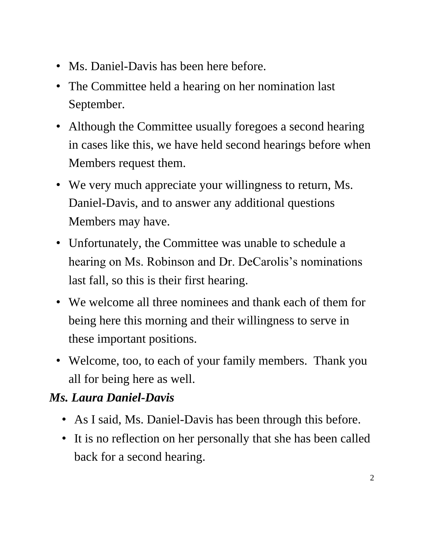- Ms. Daniel-Davis has been here before.
- The Committee held a hearing on her nomination last September.
- Although the Committee usually foregoes a second hearing in cases like this, we have held second hearings before when Members request them.
- We very much appreciate your willingness to return, Ms. Daniel-Davis, and to answer any additional questions Members may have.
- Unfortunately, the Committee was unable to schedule a hearing on Ms. Robinson and Dr. DeCarolis's nominations last fall, so this is their first hearing.
- We welcome all three nominees and thank each of them for being here this morning and their willingness to serve in these important positions.
- Welcome, too, to each of your family members. Thank you all for being here as well.

## *Ms. Laura Daniel-Davis*

- As I said, Ms. Daniel-Davis has been through this before.
- It is no reflection on her personally that she has been called back for a second hearing.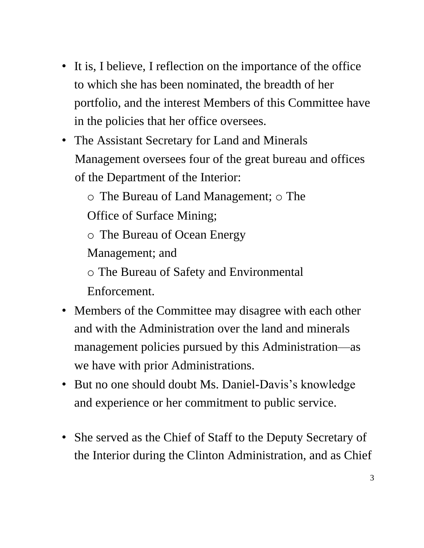- It is, I believe, I reflection on the importance of the office to which she has been nominated, the breadth of her portfolio, and the interest Members of this Committee have in the policies that her office oversees.
- The Assistant Secretary for Land and Minerals Management oversees four of the great bureau and offices of the Department of the Interior:
	- o The Bureau of Land Management; o The
	- Office of Surface Mining;
	- o The Bureau of Ocean Energy
	- Management; and
	- o The Bureau of Safety and Environmental Enforcement.
- Members of the Committee may disagree with each other and with the Administration over the land and minerals management policies pursued by this Administration—as we have with prior Administrations.
- But no one should doubt Ms. Daniel-Davis's knowledge and experience or her commitment to public service.
- She served as the Chief of Staff to the Deputy Secretary of the Interior during the Clinton Administration, and as Chief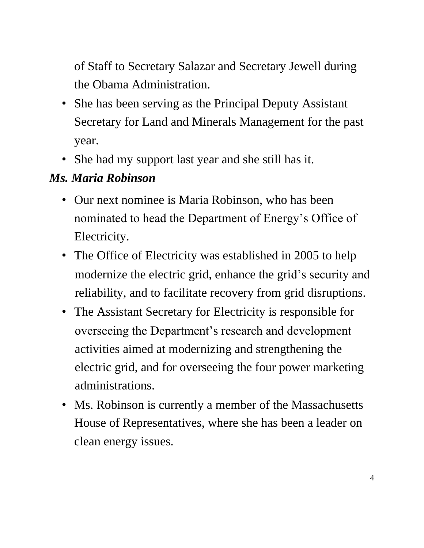of Staff to Secretary Salazar and Secretary Jewell during the Obama Administration.

- She has been serving as the Principal Deputy Assistant Secretary for Land and Minerals Management for the past year.
- She had my support last year and she still has it.

## *Ms. Maria Robinson*

- Our next nominee is Maria Robinson, who has been nominated to head the Department of Energy's Office of Electricity.
- The Office of Electricity was established in 2005 to help modernize the electric grid, enhance the grid's security and reliability, and to facilitate recovery from grid disruptions.
- The Assistant Secretary for Electricity is responsible for overseeing the Department's research and development activities aimed at modernizing and strengthening the electric grid, and for overseeing the four power marketing administrations.
- Ms. Robinson is currently a member of the Massachusetts House of Representatives, where she has been a leader on clean energy issues.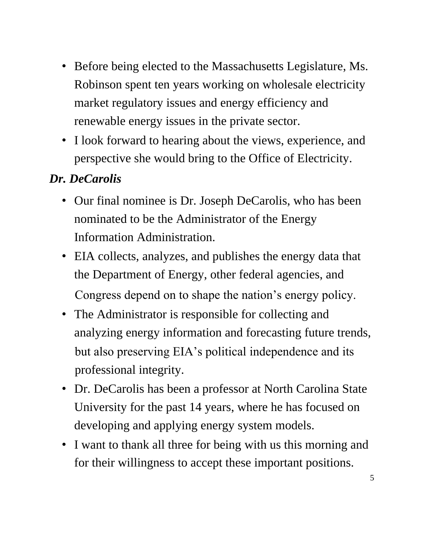- Before being elected to the Massachusetts Legislature, Ms. Robinson spent ten years working on wholesale electricity market regulatory issues and energy efficiency and renewable energy issues in the private sector.
- I look forward to hearing about the views, experience, and perspective she would bring to the Office of Electricity.

## *Dr. DeCarolis*

- Our final nominee is Dr. Joseph DeCarolis, who has been nominated to be the Administrator of the Energy Information Administration.
- EIA collects, analyzes, and publishes the energy data that the Department of Energy, other federal agencies, and Congress depend on to shape the nation's energy policy.
- The Administrator is responsible for collecting and analyzing energy information and forecasting future trends, but also preserving EIA's political independence and its professional integrity.
- Dr. DeCarolis has been a professor at North Carolina State University for the past 14 years, where he has focused on developing and applying energy system models.
- I want to thank all three for being with us this morning and for their willingness to accept these important positions.